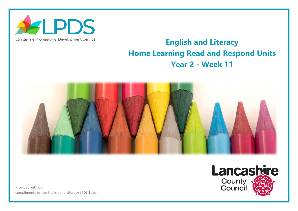

## Lancashire Professional Development Service

## **English and Literacy Home Learning Read and Respond Units Year 2 - Week 11**



Provided with our compliments by the English and Literacy LPDS Team

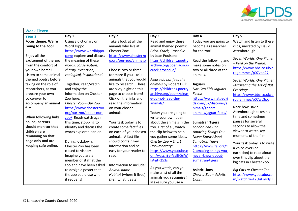

| <b>Week Eleven</b>                                                                                                                                                                                                                                                                               |                                                                                                                                                                                                                                                                                                                                                    |                                                                                                                                                                                                                                                                                                                                               |                                                                                                                                                                                                                                                                                                                                             |                                                                                                                                                                                                                                                                                                            |                                                                                                                                                                                                                                                                                                                                                                 |  |  |
|--------------------------------------------------------------------------------------------------------------------------------------------------------------------------------------------------------------------------------------------------------------------------------------------------|----------------------------------------------------------------------------------------------------------------------------------------------------------------------------------------------------------------------------------------------------------------------------------------------------------------------------------------------------|-----------------------------------------------------------------------------------------------------------------------------------------------------------------------------------------------------------------------------------------------------------------------------------------------------------------------------------------------|---------------------------------------------------------------------------------------------------------------------------------------------------------------------------------------------------------------------------------------------------------------------------------------------------------------------------------------------|------------------------------------------------------------------------------------------------------------------------------------------------------------------------------------------------------------------------------------------------------------------------------------------------------------|-----------------------------------------------------------------------------------------------------------------------------------------------------------------------------------------------------------------------------------------------------------------------------------------------------------------------------------------------------------------|--|--|
| <b>Year 2</b>                                                                                                                                                                                                                                                                                    | Day 1                                                                                                                                                                                                                                                                                                                                              | Day 2                                                                                                                                                                                                                                                                                                                                         | Day 3                                                                                                                                                                                                                                                                                                                                       | Day 4                                                                                                                                                                                                                                                                                                      | Day 5                                                                                                                                                                                                                                                                                                                                                           |  |  |
| Focus theme: We're<br>Going to the Zoo!<br>Enjoy all the<br>excitement of the zoo<br>from the comfort of<br>your own home!<br>Listen to some animal<br>themed poetry before<br>taking on the role of<br>researchers, as you<br>prepare your own<br>voice-over to<br>accompany an animal<br>film. | Using a dictionary or<br>Word Hippo:<br>https://www.wordhippo.<br>com/ explore and discuss<br>the meaning of these<br>words: conservation,<br>charity, extinction,<br>zoological, inspirational.<br>Together, read/watch<br>and enjoy the<br>information on Chester<br>Zoo here:<br>Chester Zoo - Our Zoo<br>https://www.chesterzoo.               | Take a look at all the<br>animals who live at<br>Chester Zoo:<br>https://www.chesterzo<br>o.org/our-zoo/animals/<br>Choose two or three<br>(or more if you like!)<br>animals that you would<br>like to research. There<br>are sixty-eight on this<br>page to choose from!<br>Click on the links and<br>read the information<br>on your chosen | Read and enjoy these<br>animal themed poems:<br>Crick, Crack, Crocodile<br>by Joan Poulson:<br>https://childrens.poetry<br>archive.org/poem/crick-<br>crack-crocodile/<br>Please do not feed the<br>animals by Robert Hull:<br>https://childrens.poetry<br>archive.org/poem/pleas<br>e-do-not-feed-the-<br>animals/                         | Today you are going to<br>become a researcher<br>for the zoo!<br>Read the following and<br>make some notes on<br>two or all three of the<br>animals.<br><b>Jaguars</b><br>Nat Geo Kids Jaguars<br>Facts:<br>https://www.natgeoki<br>ds.com/uk/discover/a<br>nimals/general-                                | Watch and listen to these<br>clips, narrated by David<br>Attenborough:<br>Seven Worlds, One Planet<br>- Peril on the Prairie:<br>https://www.bbc.co.uk/p<br>rogrammes/p07vpn27<br>Seven Worlds, One Planet<br>-Mastering the Art of Nut<br>Cracking:<br>https://www.bbc.co.uk/p<br>rogrammes/p07wc3pc<br>Note how David                                         |  |  |
| <b>When following links</b><br>online, parents<br>should monitor that<br>children are<br>remaining on that<br>page only and are<br>keeping safe online.                                                                                                                                          | org/our-zoo/about-our-<br>zoo/ Read/watch again,<br>this time, stopping to<br>identify and discuss the<br>words explored earlier.<br>During lockdown,<br>Chester Zoo has been<br>closed to visitors.<br>Imagine you are a<br>member of staff at the<br>zoo and have been asked<br>to design a poster that<br>the zoo could use when<br>it reopens! | animals.<br>Your task today is to<br>create some fact files<br>on each of your chosen<br>animals. A fact file<br>should contain key<br>information and be<br>easy for your reader to<br>read.<br>Information to include:<br>Animal name<br>Habitat (where it lives)<br>Diet (what it eats)                                                    | Today you are going to<br>write your own poem<br>about the animals in the<br>zoo. First of all, watch<br>the clip below to help<br>you gather some ideas.<br>Chester Zoo - Short<br>Documentary:<br>https://www.youtube.c<br>om/watch?v=VajlfQrjW<br>kA&t=253s<br>As you watch, can you<br>make a list of all the<br>animals you recognise? | animals/jaguar-facts/<br><b>Sumatran Tigers</b><br>London Zoo - 12<br><b>Amazing Things You</b><br><b>Never Knew About</b><br><b>Sumatran Tigers:</b><br>https://www.zsl.org/1<br>2-amazing-things-you-<br>never-knew-about-<br>sumatran-tigers<br><b>Asiatic Lions</b><br>Chester Zoo - Asiatic<br>Lions: | Attenborough takes his<br>time and sometimes<br>pauses for several<br>seconds to allow the<br>viewer to watch key<br>moments of the film.<br>Your task today is to write<br>a voice-over (or<br>narration) to read aloud<br>over this clip about the<br>big cats in Chester Zoo.<br>Big Cats at Chester Zoo:<br>https://www.youtube.co<br>m/watch?v=LYUuEn40j1E |  |  |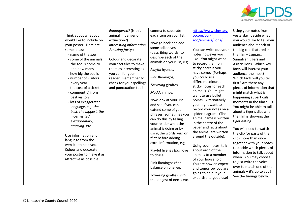

| Think about what you<br>would like to include on<br>your poster. Here are<br>some ideas:<br>- name of the zoo<br>- some of the animals<br>the zoo is home to<br>and how many<br>- how big the zoo is<br>- number of visitors<br>every year<br>- the cost of a ticket<br>- comment(s) from<br>past visitors<br>- lots of exaggerated<br>language, e.g. the<br>best, the biggest, the<br>most visited,<br>extraordinary,<br>amazing, etc.<br>Use information and<br>language from the<br>website to help you.<br>Colour and decorate<br>your poster to make it as<br>attractive as possible. | Endangered? (Is this<br>animal in danger of<br>extinction?)<br>Interesting information<br>Amazing fact(s)<br>Colour and decorate<br>your fact files to make<br>them as interesting as<br>you can for your<br>reader. Remember to<br>check for your spellings<br>and punctuation too! | comma to separate<br>each item on your list.<br>Now go back and add<br>some adjectives<br>(describing words) to<br>describe each of the<br>animals on your list, e.g.<br>Playful hyenas,<br>Pink flamingos,<br>Towering giraffes,<br>Muddy rhinos.<br>Now look at your list<br>and see if you can<br>extend some of your<br>phrases. Sometimes you<br>can do this by telling<br>your reader what the<br>animal is doing or by<br>using the words with or<br>that before adding<br>extra information, e.g.<br>Playful hyenas that love<br>to chase,<br>Pink flamingos that<br>balance on one leg,<br>Towering giraffes with | https://www.chesterz<br>oo.org/our-<br>zoo/animals/lions/<br>You can write out your<br>notes however you<br>like. You might want<br>to record them on<br>sticky notes if you<br>have some. (Perhaps<br>you could use<br>different coloured<br>sticky notes for each<br>animal!) You might<br>want to use bullet<br>points. Alternatively,<br>you might want to<br>record your notes on a<br>spider diagram. (The<br>animal name is written<br>in the centre of the<br>paper and facts about<br>the animal are written<br>around the outside).<br>Using your notes, talk<br>about each of the<br>animals to a member<br>of your household.<br>You are now an expert<br>and tomorrow you are<br>going to be put your<br>expertise to good use! | Using your notes from<br>yesterday, decide what<br>you would like to tell your<br>audience about each of<br>the big cats featured in<br>the film - Jaguars,<br>Sumatran tigers and<br>Asiatic lions. Which key<br>facts will interest your<br>audience the most?<br>Which facts will you tell<br>first? Are there any<br>pieces of information that<br>might match what is<br>happening at particular<br>moments in the film? E.g.<br>You might be able to talk<br>about a tiger's diet when<br>the film is showing the<br>tiger eating.<br>You will need to watch<br>the clip (or parts of the<br>clip) more than once<br>together with your notes,<br>to decide which pieces of<br>information to talk about<br>when. You may choose<br>to just write the voice-<br>over to match one of the<br>animals - it's up to you!<br>See the timings below. |
|--------------------------------------------------------------------------------------------------------------------------------------------------------------------------------------------------------------------------------------------------------------------------------------------------------------------------------------------------------------------------------------------------------------------------------------------------------------------------------------------------------------------------------------------------------------------------------------------|--------------------------------------------------------------------------------------------------------------------------------------------------------------------------------------------------------------------------------------------------------------------------------------|----------------------------------------------------------------------------------------------------------------------------------------------------------------------------------------------------------------------------------------------------------------------------------------------------------------------------------------------------------------------------------------------------------------------------------------------------------------------------------------------------------------------------------------------------------------------------------------------------------------------------|----------------------------------------------------------------------------------------------------------------------------------------------------------------------------------------------------------------------------------------------------------------------------------------------------------------------------------------------------------------------------------------------------------------------------------------------------------------------------------------------------------------------------------------------------------------------------------------------------------------------------------------------------------------------------------------------------------------------------------------------|-------------------------------------------------------------------------------------------------------------------------------------------------------------------------------------------------------------------------------------------------------------------------------------------------------------------------------------------------------------------------------------------------------------------------------------------------------------------------------------------------------------------------------------------------------------------------------------------------------------------------------------------------------------------------------------------------------------------------------------------------------------------------------------------------------------------------------------------------------|
|--------------------------------------------------------------------------------------------------------------------------------------------------------------------------------------------------------------------------------------------------------------------------------------------------------------------------------------------------------------------------------------------------------------------------------------------------------------------------------------------------------------------------------------------------------------------------------------------|--------------------------------------------------------------------------------------------------------------------------------------------------------------------------------------------------------------------------------------------------------------------------------------|----------------------------------------------------------------------------------------------------------------------------------------------------------------------------------------------------------------------------------------------------------------------------------------------------------------------------------------------------------------------------------------------------------------------------------------------------------------------------------------------------------------------------------------------------------------------------------------------------------------------------|----------------------------------------------------------------------------------------------------------------------------------------------------------------------------------------------------------------------------------------------------------------------------------------------------------------------------------------------------------------------------------------------------------------------------------------------------------------------------------------------------------------------------------------------------------------------------------------------------------------------------------------------------------------------------------------------------------------------------------------------|-------------------------------------------------------------------------------------------------------------------------------------------------------------------------------------------------------------------------------------------------------------------------------------------------------------------------------------------------------------------------------------------------------------------------------------------------------------------------------------------------------------------------------------------------------------------------------------------------------------------------------------------------------------------------------------------------------------------------------------------------------------------------------------------------------------------------------------------------------|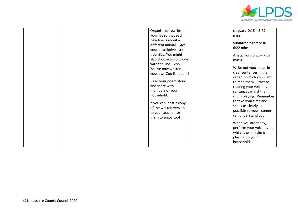

| Organise or rewrite<br>your list so that each<br>new line is about a<br>different animal. Give<br>your descriptive list the<br>title, Zoo. You might<br>also choose to conclude                      | (Jaguars $0:16 - 5:29$<br>mins;<br>Sumatran tigers 5:30 -<br>6:22 mins;<br>Asiatic lions $6:23 - 7:53$<br>mins).                                                                                                                                                                                                                                                                     |
|------------------------------------------------------------------------------------------------------------------------------------------------------------------------------------------------------|--------------------------------------------------------------------------------------------------------------------------------------------------------------------------------------------------------------------------------------------------------------------------------------------------------------------------------------------------------------------------------------|
| your own Zoo list poem!<br>Read your poem aloud<br>and share with<br>members of your<br>household.<br>If you can, post a copy<br>of the written version<br>to your teacher for<br>them to enjoy too! | clear sentences in the<br>order in which you want<br>to read them. Practise<br>reading your voice-over<br>sentences whilst the film<br>clip is playing. Remember<br>to take your time and<br>speak as clearly as<br>possible so your listener<br>can understand you.<br>When you are ready,<br>perform your voice-over,<br>whilst the film clip is<br>playing, to your<br>household. |